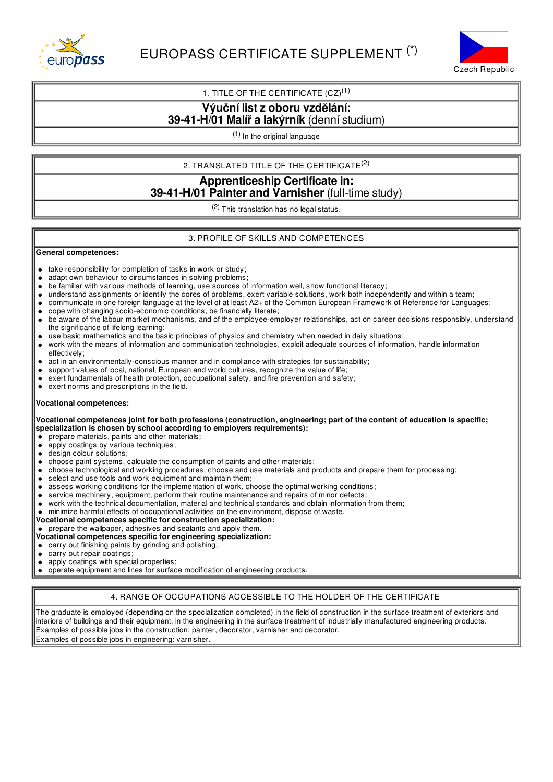



# 1. TITLE OF THE CERTIFICATE  $(CZ)^{(1)}$

# **Výuční listz oboru vzdělání:**

## **39-41-H/01 Malíř a lakýrník** (denní studium)

(1) In the original language

2. TRANSLATED TITLE OF THE CERTIFICATE $^{(2)}$ 

# **Apprenticeship Certificate in: 39-41-H/01 Painter and Varnisher** (full-time study)

(2) This translation has no legal status.

## 3. PROFILE OF SKILLS AND COMPETENCES

#### **General competences:**

- take responsibility for completion of tasks in work or study;  $\bullet$
- $\bullet$ adapt own behaviour to circumstances in solving problems;
- be familiar with various methods of learning, use sources of information well, show functional literacy;  $\bullet$
- understand assignments or identify the cores of problems, exert variable solutions, work both independently and within a team;
- communicate in one foreign language at the level of at least A2+ of the Common European Framework of Reference for Languages;  $\bullet$
- cope with changing socio-economic conditions, be financially literate;  $\bullet$
- be aware of the labour market mechanisms, and of the employee-employer relationships, act on career decisions responsibly, understand  $\bullet$ the significance of lifelong learning;
- use basic mathematics and the basic principles of physics and chemistry when needed in daily situations;
- work with the means of information and communication technologies, exploit adequate sources of information, handle information effectively;
- act in an environmentally-conscious manner and in compliance with strategies for sustainability;
- support values of local, national, European and world cultures, recognize the value of life;
- exert fundamentals of health protection, occupational safety, and fire prevention and safety;
- exert norms and prescriptions in the field.  $\bullet$

## **Vocational competences:**

#### Vocational competences joint for both professions (construction, engineering; part of the content of education is specific; **specialization is chosen by school according to employers requirements):**

- prepare materials, paints and other materials;  $\bullet$
- $\bullet$ apply coatings by various techniques;
- $\bullet$ design colour solutions;
- choose paint systems, calculate the consumption of paints and other materials;  $\bullet$
- choose technological and working procedures, choose and use materials and products and prepare them for processing;  $\bullet$
- select and use tools and work equipment and maintain them;  $\bullet$
- $\bullet$ assess working conditions for the implementation of work, choose the optimal working conditions;
- service machinery, equipment, perform their routine maintenance and repairs of minor defects;
- work with the technical documentation, material and technical standards and obtain information from them;
- minimize harmful effects of occupational activities on the environment, dispose of waste.
- **Vocational competences specific for construction specialization:**
- prepare the wallpaper, adhesives and sealants and apply them.
- **Vocational competences specific for engineering specialization:**
- $\bullet$  carry out finishing paints by grinding and polishing;
- carry out repair coatings;  $\bullet$
- apply coatings with special properties;
- operate equipment and lines for surface modification of engineering products.

## 4. RANGE OF OCCUPATIONS ACCESSIBLE TO THE HOLDER OF THE CERTIFICATE

The graduate is employed (depending on the specialization completed) in the field of construction in the surface treatment of exteriors and interiors of buildings and their equipment, in the engineering in the surface treatment of industrially manufactured engineering products. Examples of possible jobs in the construction: painter, decorator, varnisher and decorator. Examples of possible jobs in engineering: varnisher.